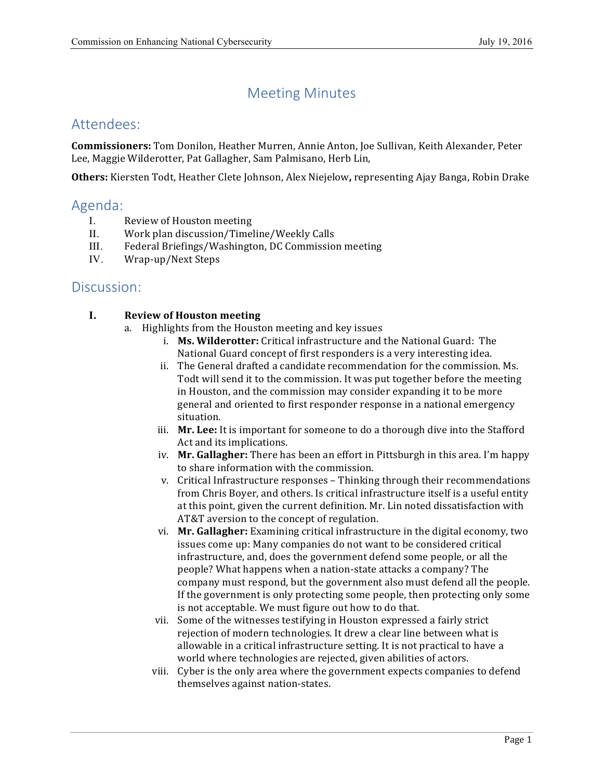# Meeting Minutes

## Attendees:

 **Commissioners:** Tom Donilon, Heather Murren, Annie Anton, Joe Sullivan, Keith Alexander, Peter Lee, Maggie Wilderotter, Pat Gallagher, Sam Palmisano, Herb Lin,

 **Others:** Kiersten Todt, Heather Clete Johnson, Alex Niejelow**,** representing Ajay Banga, Robin Drake

### Agenda:

- I. Review of Houston meeting
- II. Work plan discussion/Timeline/Weekly Calls
- III. Federal Briefings/Washington, DC Commission meeting
- IV. Wrap-up/Next Steps

### Discussion:

### **I. Review of Houston meeting**

- a. Highlights from the Houston meeting and key issues
	- i. **Ms. Wilderotter:** Critical infrastructure and the National Guard: The National Guard concept of first responders is a very interesting idea.
	- ii. The General drafted a candidate recommendation for the commission. Ms. Todt will send it to the commission. It was put together before the meeting in Houston, and the commission may consider expanding it to be more general and oriented to first responder response in a national emergency situation.
	- iii. Mr. Lee: It is important for someone to do a thorough dive into the Stafford Act and its implications.
	- iv. Mr. Gallagher: There has been an effort in Pittsburgh in this area. I'm happy to share information with the commission.
	- v. Critical Infrastructure responses Thinking through their recommendations from Chris Boyer, and others. Is critical infrastructure itself is a useful entity at this point, given the current definition. Mr. Lin noted dissatisfaction with AT&T aversion to the concept of regulation.
	- vi. **Mr. Gallagher:** Examining critical infrastructure in the digital economy, two issues come up: Many companies do not want to be considered critical infrastructure, and, does the government defend some people, or all the people? What happens when a nation-state attacks a company? The company must respond, but the government also must defend all the people. If the government is only protecting some people, then protecting only some is not acceptable. We must figure out how to do that.
	- vii. Some of the witnesses testifying in Houston expressed a fairly strict rejection of modern technologies. It drew a clear line between what is allowable in a critical infrastructure setting. It is not practical to have a world where technologies are rejected, given abilities of actors.
	- viii. Cyber is the only area where the government expects companies to defend themselves against nation-states.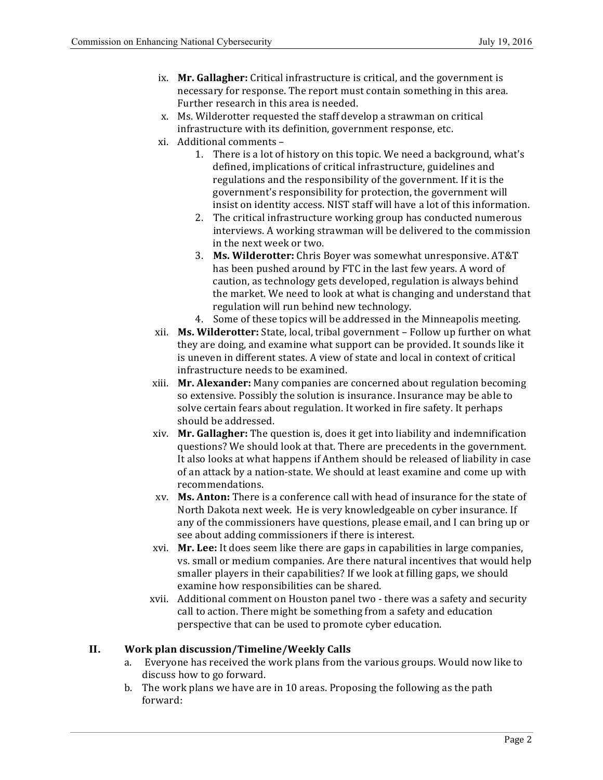- ix. Mr. Gallagher: Critical infrastructure is critical, and the government is necessary for response. The report must contain something in this area. Further research in this area is needed.
- x. Ms. Wilderotter requested the staff develop a strawman on critical infrastructure with its definition, government response, etc.
- xi. Additional comments
	- 1. There is a lot of history on this topic. We need a background, what's defined, implications of critical infrastructure, guidelines and regulations and the responsibility of the government. If it is the government's responsibility for protection, the government will insist on identity access. NIST staff will have a lot of this information.
	- 2. The critical infrastructure working group has conducted numerous interviews. A working strawman will be delivered to the commission in the next week or two.
	- 3. **Ms. Wilderotter:** Chris Boyer was somewhat unresponsive. AT&T has been pushed around by FTC in the last few years. A word of the market. We need to look at what is changing and understand that regulation will run behind new technology. caution, as technology gets developed, regulation is always behind
	- 4. Some of these topics will be addressed in the Minneapolis meeting.
- xii. **Ms. Wilderotter:** State, local, tribal government Follow up further on what they are doing, and examine what support can be provided. It sounds like it is uneven in different states. A view of state and local in context of critical infrastructure needs to be examined.
- xiii. **Mr. Alexander:** Many companies are concerned about regulation becoming so extensive. Possibly the solution is insurance. Insurance may be able to solve certain fears about regulation. It worked in fire safety. It perhaps should be addressed.
- xiv. Mr. Gallagher: The question is, does it get into liability and indemnification questions? We should look at that. There are precedents in the government. It also looks at what happens if Anthem should be released of liability in case of an attack by a nation-state. We should at least examine and come up with recommendations.
- xv. Ms. Anton: There is a conference call with head of insurance for the state of North Dakota next week. He is very knowledgeable on cyber insurance. If any of the commissioners have questions, please email, and I can bring up or see about adding commissioners if there is interest.
- xvi. **Mr. Lee:** It does seem like there are gaps in capabilities in large companies, vs. small or medium companies. Are there natural incentives that would help smaller players in their capabilities? If we look at filling gaps, we should examine how responsibilities can be shared.
- xvii. Additional comment on Houston panel two there was a safety and security call to action. There might be something from a safety and education perspective that can be used to promote cyber education.

#### **II. Work plan discussion/Timeline/Weekly Calls**

- a. Everyone has received the work plans from the various groups. Would now like to discuss how to go forward.
- b. The work plans we have are in 10 areas. Proposing the following as the path forward: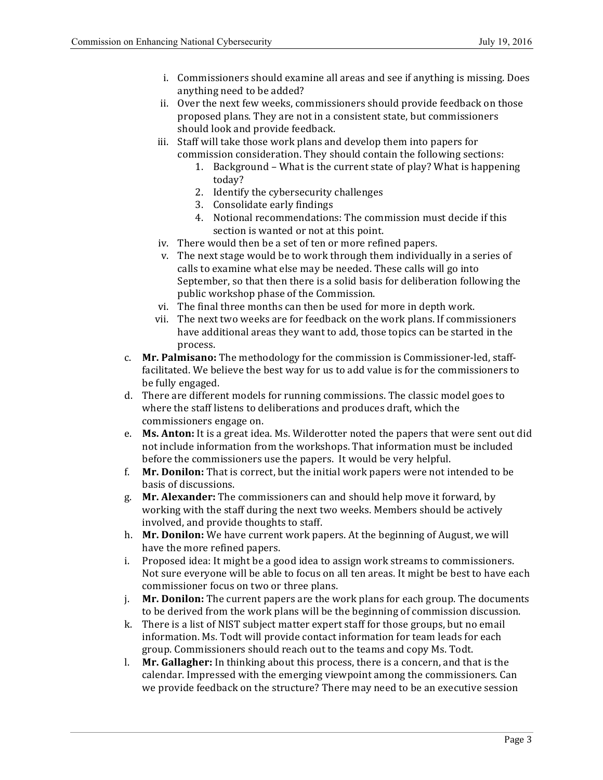- i. Commissioners should examine all areas and see if anything is missing. Does anything need to be added?
- ii. Over the next few weeks, commissioners should provide feedback on those proposed plans. They are not in a consistent state, but commissioners should look and provide feedback.
- iii. Staff will take those work plans and develop them into papers for commission consideration. They should contain the following sections:
	- 1. Background What is the current state of play? What is happening today?
	- 2. Identify the cybersecurity challenges
	- 3. Consolidate early findings
	- 4. Notional recommendations: The commission must decide if this section is wanted or not at this point.
- iv. There would then be a set of ten or more refined papers.
- v. The next stage would be to work through them individually in a series of calls to examine what else may be needed. These calls will go into September, so that then there is a solid basis for deliberation following the public workshop phase of the Commission.
- vi. The final three months can then be used for more in depth work.
- vii. The next two weeks are for feedback on the work plans. If commissioners have additional areas they want to add, those topics can be started in the process.
- c. **Mr. Palmisano:** The methodology for the commission is Commissioner-led, stafffacilitated. We believe the best way for us to add value is for the commissioners to be fully engaged.
- d. There are different models for running commissions. The classic model goes to where the staff listens to deliberations and produces draft, which the commissioners engage on.
- e. Ms. Anton: It is a great idea. Ms. Wilderotter noted the papers that were sent out did not include information from the workshops. That information must be included before the commissioners use the papers. It would be very helpful.
- f. **Mr. Donilon:** That is correct, but the initial work papers were not intended to be basis of discussions.
- g. Mr. Alexander: The commissioners can and should help move it forward, by working with the staff during the next two weeks. Members should be actively involved, and provide thoughts to staff.
- h. Mr. Donilon: We have current work papers. At the beginning of August, we will have the more refined papers.
- i. Proposed idea: It might be a good idea to assign work streams to commissioners. Not sure everyone will be able to focus on all ten areas. It might be best to have each commissioner focus on two or three plans.
- j. **Mr. Donilon:** The current papers are the work plans for each group. The documents to be derived from the work plans will be the beginning of commission discussion.
- k. There is a list of NIST subject matter expert staff for those groups, but no email information. Ms. Todt will provide contact information for team leads for each group. Commissioners should reach out to the teams and copy Ms. Todt.
- l. Mr. Gallagher: In thinking about this process, there is a concern, and that is the calendar. Impressed with the emerging viewpoint among the commissioners. Can we provide feedback on the structure? There may need to be an executive session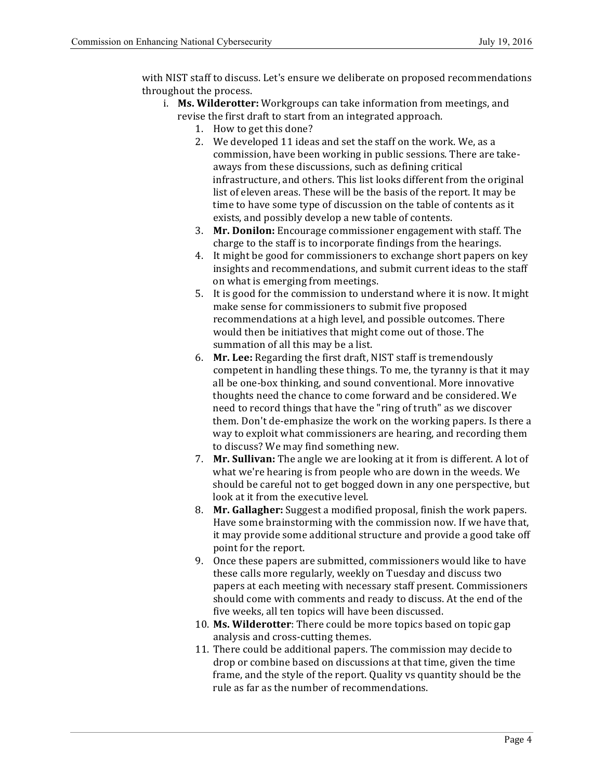with NIST staff to discuss. Let's ensure we deliberate on proposed recommendations throughout the process.

- i. **Ms. Wilderotter:** Workgroups can take information from meetings, and revise the first draft to start from an integrated approach.
	- 1. How to get this done?
	- 2. We developed 11 ideas and set the staff on the work. We, as a commission, have been working in public sessions. There are takeaways from these discussions, such as defining critical infrastructure, and others. This list looks different from the original time to have some type of discussion on the table of contents as it exists, and possibly develop a new table of contents. list of eleven areas. These will be the basis of the report. It may be
	- 3. Mr. Donilon: Encourage commissioner engagement with staff. The charge to the staff is to incorporate findings from the hearings.
	- 4. It might be good for commissioners to exchange short papers on key insights and recommendations, and submit current ideas to the staff on what is emerging from meetings.
	- 5. It is good for the commission to understand where it is now. It might make sense for commissioners to submit five proposed recommendations at a high level, and possible outcomes. There would then be initiatives that might come out of those. The summation of all this may be a list.
	- 6. **Mr. Lee:** Regarding the first draft, NIST staff is tremendously competent in handling these things. To me, the tyranny is that it may all be one-box thinking, and sound conventional. More innovative thoughts need the chance to come forward and be considered. We need to record things that have the "ring of truth" as we discover them. Don't de-emphasize the work on the working papers. Is there a way to exploit what commissioners are hearing, and recording them to discuss? We may find something new.
	- 7. **Mr. Sullivan:** The angle we are looking at it from is different. A lot of what we're hearing is from people who are down in the weeds. We should be careful not to get bogged down in any one perspective, but look at it from the executive level.
	- 8. Mr. Gallagher: Suggest a modified proposal, finish the work papers. Have some brainstorming with the commission now. If we have that, it may provide some additional structure and provide a good take off point for the report.
	- 9. Once these papers are submitted, commissioners would like to have these calls more regularly, weekly on Tuesday and discuss two papers at each meeting with necessary staff present. Commissioners should come with comments and ready to discuss. At the end of the five weeks, all ten topics will have been discussed.
	- 10. Ms. Wilderotter: There could be more topics based on topic gap analysis and cross-cutting themes.
	- 11. There could be additional papers. The commission may decide to drop or combine based on discussions at that time, given the time frame, and the style of the report. Quality vs quantity should be the rule as far as the number of recommendations.